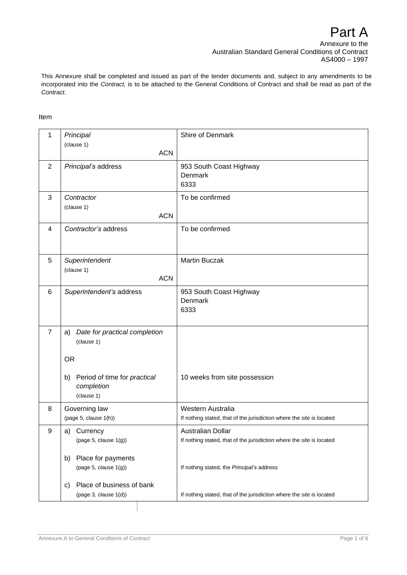Annexure to the Australian Standard General Conditions of Contract AS4000 – 1997

This Annexure shall be completed and issued as part of the tender documents and, subject to any amendments to be incorporated into the *Contract,* is to be attached to the General Conditions of Contract and shall be read as part of the *Contract.*

## Item

| 1              | Principal                                                      | Shire of Denmark                                                                           |
|----------------|----------------------------------------------------------------|--------------------------------------------------------------------------------------------|
|                | (clause 1)<br><b>ACN</b>                                       |                                                                                            |
| $\overline{2}$ | Principal's address                                            | 953 South Coast Highway<br>Denmark<br>6333                                                 |
| 3              | Contractor<br>(clause 1)<br><b>ACN</b>                         | To be confirmed                                                                            |
| 4              | Contractor's address                                           | To be confirmed                                                                            |
| 5              | Superintendent<br>(clause 1)<br><b>ACN</b>                     | <b>Martin Buczak</b>                                                                       |
| 6              | Superintendent's address                                       | 953 South Coast Highway<br>Denmark<br>6333                                                 |
| $\overline{7}$ | Date for practical completion<br>a)<br>(clause 1)<br><b>OR</b> |                                                                                            |
|                | Period of time for practical<br>b)<br>completion<br>(clause 1) | 10 weeks from site possession                                                              |
| 8              | Governing law<br>(page 5, clause 1(h))                         | Western Australia<br>If nothing stated, that of the jurisdiction where the site is located |
| 9              | a)<br>Currency<br>(page 5, clause $1(g)$ )                     | Australian Dollar<br>If nothing stated, that of the jurisdiction where the site is located |
|                | Place for payments<br>b)<br>(page 5, clause 1(g))              | If nothing stated, the Principal's address                                                 |
|                | Place of business of bank<br>c)<br>(page 3, clause 1(d))       | If nothing stated, that of the jurisdiction where the site is located                      |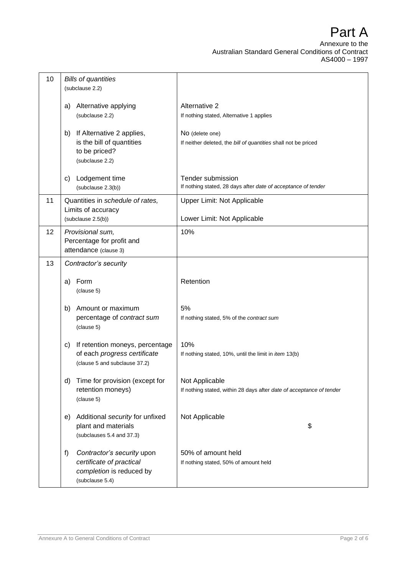| 10 | <b>Bills of quantities</b><br>(subclause 2.2)                                                               |                                                                                        |
|----|-------------------------------------------------------------------------------------------------------------|----------------------------------------------------------------------------------------|
|    | Alternative applying<br>a)<br>(subclause 2.2)                                                               | Alternative 2<br>If nothing stated, Alternative 1 applies                              |
|    | If Alternative 2 applies,<br>b)<br>is the bill of quantities<br>to be priced?<br>(subclause 2.2)            | No (delete one)<br>If neither deleted, the bill of quantities shall not be priced      |
|    | Lodgement time<br>C)<br>(subclause 2.3(b))                                                                  | Tender submission<br>If nothing stated, 28 days after date of acceptance of tender     |
| 11 | Quantities in schedule of rates,<br>Limits of accuracy<br>(subclause 2.5(b))                                | Upper Limit: Not Applicable<br>Lower Limit: Not Applicable                             |
| 12 | Provisional sum,<br>Percentage for profit and<br>attendance (clause 3)                                      | 10%                                                                                    |
| 13 | Contractor's security                                                                                       |                                                                                        |
|    | Form<br>a)<br>(clause 5)                                                                                    | Retention                                                                              |
|    | Amount or maximum<br>b)<br>percentage of contract sum<br>(clause 5)                                         | 5%<br>If nothing stated, 5% of the contract sum                                        |
|    | If retention moneys, percentage<br>c)<br>of each progress certificate<br>(clause 5 and subclause 37.2)      | 10%<br>If nothing stated, 10%, until the limit in item 13(b)                           |
|    | Time for provision (except for<br>d)<br>retention moneys)<br>(clause 5)                                     | Not Applicable<br>If nothing stated, within 28 days after date of acceptance of tender |
|    | Additional security for unfixed<br>e)<br>plant and materials<br>(subclauses 5.4 and 37.3)                   | Not Applicable<br>\$                                                                   |
|    | f)<br>Contractor's security upon<br>certificate of practical<br>completion is reduced by<br>(subclause 5.4) | 50% of amount held<br>If nothing stated, 50% of amount held                            |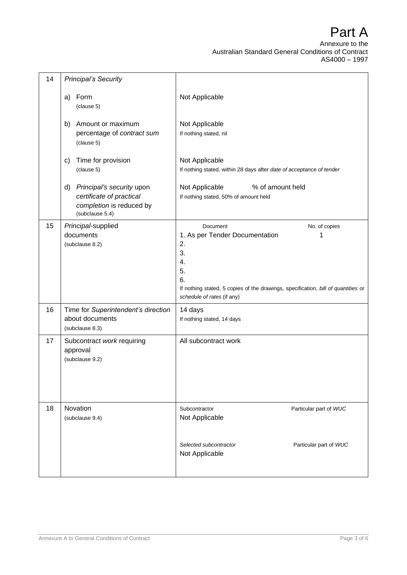| 14 | <b>Principal's Security</b>                                                                                |                                                                                                                                                                                                                   |
|----|------------------------------------------------------------------------------------------------------------|-------------------------------------------------------------------------------------------------------------------------------------------------------------------------------------------------------------------|
|    | Form<br>a)<br>(clause 5)                                                                                   | Not Applicable                                                                                                                                                                                                    |
|    | b)<br>Amount or maximum<br>percentage of contract sum<br>(clause 5)                                        | Not Applicable<br>If nothing stated, nil                                                                                                                                                                          |
|    | Time for provision<br>c)<br>(clause 5)                                                                     | Not Applicable<br>If nothing stated, within 28 days after date of acceptance of tender                                                                                                                            |
|    | Principal's security upon<br>d)<br>certificate of practical<br>completion is reduced by<br>(subclause 5.4) | % of amount held<br>Not Applicable<br>If nothing stated, 50% of amount held                                                                                                                                       |
| 15 | Principal-supplied<br>documents<br>(subclause 8.2)                                                         | Document<br>No. of copies<br>1. As per Tender Documentation<br>1<br>2.<br>3.<br>4.<br>5.<br>6.<br>If nothing stated, 5 copies of the drawings, specification, bill of quantities or<br>schedule of rates (if any) |
| 16 | Time for Superintendent's direction<br>about documents<br>(subclause 8.3)                                  | 14 days<br>If nothing stated, 14 days                                                                                                                                                                             |
| 17 | Subcontract work requiring<br>approval<br>(subclause 9.2)                                                  | All subcontract work                                                                                                                                                                                              |
| 18 | Novation<br>(subclause 9.4)                                                                                | Subcontractor<br>Particular part of WUC<br>Not Applicable                                                                                                                                                         |
|    |                                                                                                            | Particular part of WUC<br>Selected subcontractor<br>Not Applicable                                                                                                                                                |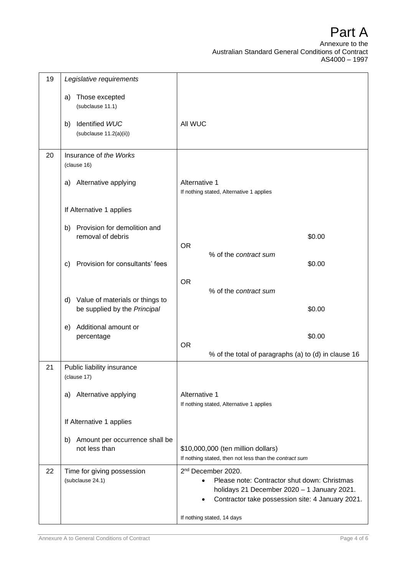| 19 | Legislative requirements                                              |                                                                                                                                                                                   |
|----|-----------------------------------------------------------------------|-----------------------------------------------------------------------------------------------------------------------------------------------------------------------------------|
|    | Those excepted<br>a)<br>(subclause 11.1)                              |                                                                                                                                                                                   |
|    | Identified WUC<br>b)<br>(subclause 11.2(a)(ii))                       | All WUC                                                                                                                                                                           |
| 20 | Insurance of the Works                                                |                                                                                                                                                                                   |
|    | (clause 16)                                                           |                                                                                                                                                                                   |
|    | Alternative applying<br>a)                                            | Alternative 1<br>If nothing stated, Alternative 1 applies                                                                                                                         |
|    | If Alternative 1 applies                                              |                                                                                                                                                                                   |
|    | Provision for demolition and<br>b)<br>removal of debris               | \$0.00<br><b>OR</b>                                                                                                                                                               |
|    |                                                                       | % of the contract sum                                                                                                                                                             |
|    | Provision for consultants' fees<br>C)                                 | \$0.00                                                                                                                                                                            |
|    |                                                                       | <b>OR</b><br>% of the contract sum                                                                                                                                                |
|    | Value of materials or things to<br>d)<br>be supplied by the Principal | \$0.00                                                                                                                                                                            |
|    | Additional amount or<br>e)<br>percentage                              | \$0.00                                                                                                                                                                            |
|    |                                                                       | <b>OR</b><br>% of the total of paragraphs (a) to (d) in clause 16                                                                                                                 |
| 21 | Public liability insurance<br>(clause 17)                             |                                                                                                                                                                                   |
|    | a) Alternative applying                                               | Alternative 1<br>If nothing stated, Alternative 1 applies                                                                                                                         |
|    | If Alternative 1 applies                                              |                                                                                                                                                                                   |
|    | Amount per occurrence shall be<br>b)<br>not less than                 | \$10,000,000 (ten million dollars)<br>If nothing stated, then not less than the contract sum                                                                                      |
| 22 | Time for giving possession<br>(subclause 24.1)                        | 2 <sup>nd</sup> December 2020.<br>Please note: Contractor shut down: Christmas<br>holidays 21 December 2020 - 1 January 2021.<br>Contractor take possession site: 4 January 2021. |
|    |                                                                       | If nothing stated, 14 days                                                                                                                                                        |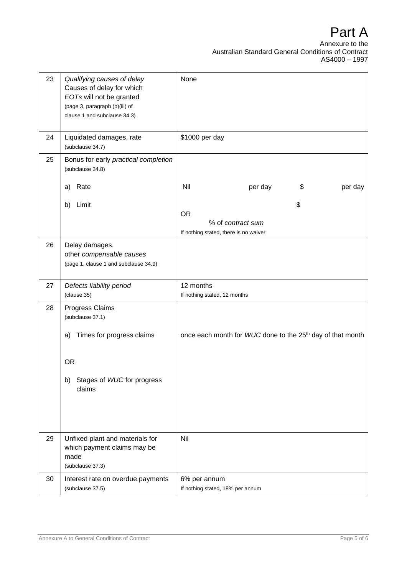| 23 | Qualifying causes of delay<br>Causes of delay for which<br>EOTs will not be granted<br>(page 3, paragraph (b)(iii) of<br>clause 1 and subclause 34.3) | None                                                                          |
|----|-------------------------------------------------------------------------------------------------------------------------------------------------------|-------------------------------------------------------------------------------|
| 24 | Liquidated damages, rate<br>(subclause 34.7)                                                                                                          | \$1000 per day                                                                |
| 25 | Bonus for early practical completion<br>(subclause 34.8)                                                                                              |                                                                               |
|    | Rate<br>a)                                                                                                                                            | Nil<br>per day<br>\$<br>per day                                               |
|    | Limit<br>b)                                                                                                                                           | \$<br><b>OR</b><br>% of contract sum<br>If nothing stated, there is no waiver |
| 26 | Delay damages,<br>other compensable causes<br>(page 1, clause 1 and subclause 34.9)                                                                   |                                                                               |
| 27 | Defects liability period<br>(clause 35)                                                                                                               | 12 months<br>If nothing stated, 12 months                                     |
| 28 | Progress Claims<br>(subclause 37.1)<br>Times for progress claims<br>a)<br><b>OR</b><br>Stages of WUC for progress<br>b)<br>claims                     | once each month for WUC done to the 25 <sup>th</sup> day of that month        |
| 29 | Unfixed plant and materials for<br>which payment claims may be<br>made<br>(subclause 37.3)                                                            | Nil                                                                           |
| 30 | Interest rate on overdue payments<br>(subclause 37.5)                                                                                                 | 6% per annum<br>If nothing stated, 18% per annum                              |